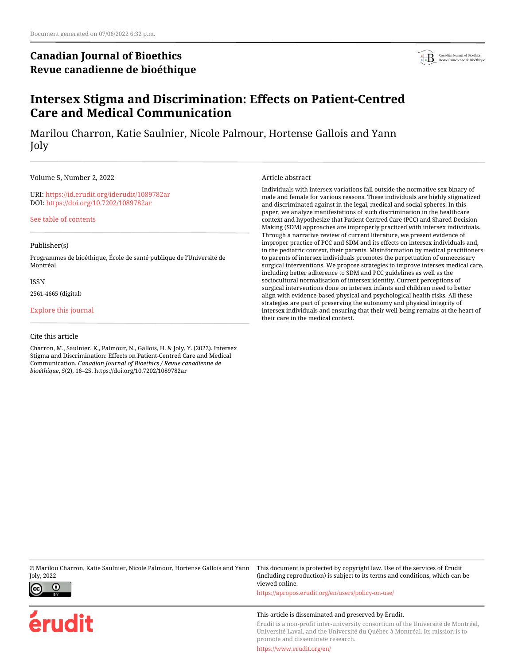# **Canadian Journal of Bioethics Revue canadienne de bioéthique**



# **Intersex Stigma and Discrimination: Effects on Patient-Centred Care and Medical Communication**

Marilou Charron, Katie Saulnier, Nicole Palmour, Hortense Gallois and Yann Joly

### Volume 5, Number 2, 2022

URI:<https://id.erudit.org/iderudit/1089782ar> DOI:<https://doi.org/10.7202/1089782ar>

[See table of contents](https://www.erudit.org/en/journals/bioethics/2022-v5-n2-bioethics07048/)

### Publisher(s)

Programmes de bioéthique, École de santé publique de l'Université de Montréal

ISSN

2561-4665 (digital)

[Explore this journal](https://www.erudit.org/en/journals/bioethics/)

## Cite this article

Charron, M., Saulnier, K., Palmour, N., Gallois, H. & Joly, Y. (2022). Intersex Stigma and Discrimination: Effects on Patient-Centred Care and Medical Communication. *Canadian Journal of Bioethics / Revue canadienne de bioéthique*, *5*(2), 16–25. https://doi.org/10.7202/1089782ar

Article abstract

Individuals with intersex variations fall outside the normative sex binary of male and female for various reasons. These individuals are highly stigmatized and discriminated against in the legal, medical and social spheres. In this paper, we analyze manifestations of such discrimination in the healthcare context and hypothesize that Patient Centred Care (PCC) and Shared Decision Making (SDM) approaches are improperly practiced with intersex individuals. Through a narrative review of current literature, we present evidence of improper practice of PCC and SDM and its effects on intersex individuals and, in the pediatric context, their parents. Misinformation by medical practitioners to parents of intersex individuals promotes the perpetuation of unnecessary surgical interventions. We propose strategies to improve intersex medical care, including better adherence to SDM and PCC guidelines as well as the sociocultural normalisation of intersex identity. Current perceptions of surgical interventions done on intersex infants and children need to better align with evidence-based physical and psychological health risks. All these strategies are part of preserving the autonomy and physical integrity of intersex individuals and ensuring that their well-being remains at the heart of their care in the medical context.

© Marilou Charron, Katie Saulnier, Nicole Palmour, Hortense Gallois and Yann Joly, 2022



erudit

This document is protected by copyright law. Use of the services of Érudit (including reproduction) is subject to its terms and conditions, which can be viewed online. <https://apropos.erudit.org/en/users/policy-on-use/>

# This article is disseminated and preserved by Érudit.

Érudit is a non-profit inter-university consortium of the Université de Montréal, Université Laval, and the Université du Québec à Montréal. Its mission is to promote and disseminate research.

<https://www.erudit.org/en/>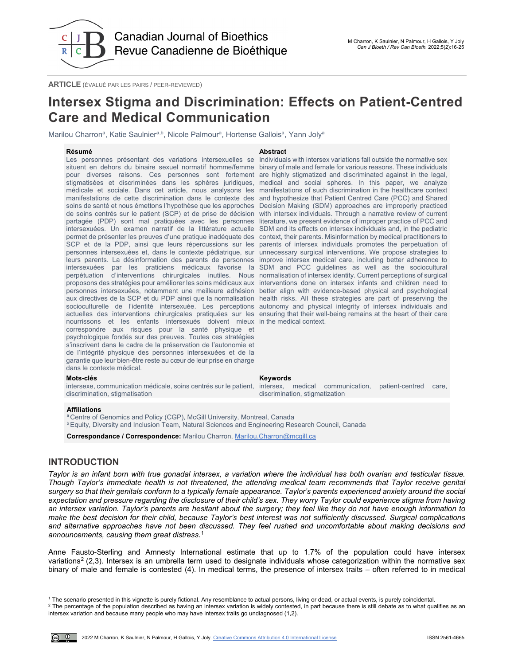

**ARTICLE** (ÉVALUÉ PAR LES PAIRS / PEER-REVIEWED)

# **Intersex Stigma and Discrimination: Effects on Patient-Centred Care and Medical Communication**

Marilou Charron<sup>a</sup>, Katie Saulnier<sup>a,b</sup>, Nicole Palmour<sup>a</sup>, Hortense Gallois<sup>a</sup>, Yann Joly<sup>a</sup>

### **Résumé Abstract**

Les personnes présentant des variations intersexuelles se Individuals with intersex variations fall outside the normative sex situent en dehors du binaire sexuel normatif homme/femme binary of male and female for various reasons. These individuals pour diverses raisons. Ces personnes sont fortement are highly stigmatized and discriminated against in the legal, stigmatisées et discriminées dans les sphères juridiques, medical and social spheres. In this paper, we analyze médicale et sociale. Dans cet article, nous analysons les manifestations of such discrimination in the healthcare context manifestations de cette discrimination dans le contexte des and hypothesize that Patient Centred Care (PCC) and Shared soins de santé et nous émettons l'hypothèse que les approches Decision Making (SDM) approaches are improperly practiced de soins centrés sur le patient (SCP) et de prise de décision with intersex individuals. Through a narrative review of current partagée (PDP) sont mal pratiquées avec les personnes intersexuées. Un examen narratif de la littérature actuelle SDM and its effects on intersex individuals and, in the pediatric permet de présenter les preuves d'une pratique inadéquate des context, their parents. Misinformation by medical practitioners to SCP et de la PDP, ainsi que leurs répercussions sur les parents of intersex individuals promotes the perpetuation of personnes intersexuées et, dans le contexte pédiatrique, sur unnecessary surgical interventions. We propose strategies to leurs parents. La désinformation des parents de personnes improve intersex medical care, including better adherence to intersexuées par les praticiens médicaux favorise la SDM and PCC guidelines as well as the sociocultural perpétuation d'interventions chirurgicales inutiles. Nous normalisation of intersex identity. Current perceptions of surgical proposons des stratégies pour améliorer les soins médicaux aux interventions done on intersex infants and children need to personnes intersexuées, notamment une meilleure adhésion better align with evidence-based physical and psychological aux directives de la SCP et du PDP ainsi que la normalisation health risks. All these strategies are part of preserving the socioculturelle de l'identité intersexuée. Les perceptions autonomy and physical integrity of intersex individuals and actuelles des interventions chirurgicales pratiquées sur les ensuring that their well-being remains at the heart of their care nourrissons et les enfants intersexués doivent mieux in the medical context. correspondre aux risques pour la santé physique et psychologique fondés sur des preuves. Toutes ces stratégies s'inscrivent dans le cadre de la préservation de l'autonomie et de l'intégrité physique des personnes intersexuées et de la garantie que leur bien-être reste au cœur de leur prise en charge dans le contexte médical.

### **Mots-clés Keywords**

intersexe, communication médicale, soins centrés sur le patient, discrimination, stigmatisation

literature, we present evidence of improper practice of PCC and

intersex, medical communication, patient-centred care, discrimination, stigmatization

### **Affiliations**

<sup>a</sup> Centre of Genomics and Policy (CGP), McGill University, Montreal, Canada

**b Equity, Diversity and Inclusion Team, Natural Sciences and Engineering Research Council, Canada** 

**Correspondance / Correspondence:** Marilou Charron, [Marilou.Charron@mcgill.ca](mailto:Marilou.Charron@mcgill.ca)

# **INTRODUCTION**

*Taylor is an infant born with true gonadal intersex, a variation where the individual has both ovarian and testicular tissue. Though Taylor's immediate health is not threatened, the attending medical team recommends that Taylor receive genital surgery so that their genitals conform to a typically female appearance. Taylor's parents experienced anxiety around the social expectation and pressure regarding the disclosure of their child's sex. They worry Taylor could experience stigma from having an intersex variation. Taylor's parents are hesitant about the surgery; they feel like they do not have enough information to make the best decision for their child, because Taylor's best interest was not sufficiently discussed. Surgical complications and alternative approaches have not been discussed. They feel rushed and uncomfortable about making decisions and announcements, causing them great distress.*[1](#page-1-0)

Anne Fausto-Sterling and Amnesty International estimate that up to 1.7% of the population could have intersex variations<sup>2</sup> (2,3). Intersex is an umbrella term used to designate individuals whose categorization within the normative sex binary of male and female is contested (4). In medical terms, the presence of intersex traits – often referred to in medical

<span id="page-1-1"></span><span id="page-1-0"></span><sup>2</sup> The percentage of the population described as having an intersex variation is widely contested, in part because there is still debate as to what qualifies as an intersex variation and because many people who may have intersex traits go undiagnosed (1,2).



j <sup>1</sup> The scenario presented in this vignette is purely fictional. Any resemblance to actual persons, living or dead, or actual events, is purely coincidental.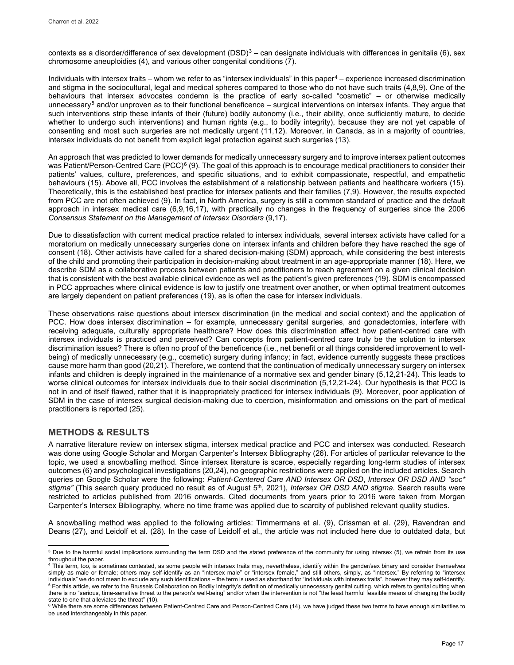contexts as a disorder/difference of sex development (DSD)<sup>[3](#page-2-0)</sup> – can designate individuals with differences in genitalia (6), sex chromosome aneuploidies (4), and various other congenital conditions (7).

Individuals with intersex traits – whom we refer to as "intersex individuals" in this paper<sup>[4](#page-2-1)</sup> – experience increased discrimination and stigma in the sociocultural, legal and medical spheres compared to those who do not have such traits (4,8,9). One of the behaviours that intersex advocates condemn is the practice of early so-called "cosmetic" – or otherwise medically unnecessary<sup>[5](#page-2-2)</sup> and/or unproven as to their functional beneficence – surgical interventions on intersex infants. They argue that such interventions strip these infants of their (future) bodily autonomy (i.e., their ability, once sufficiently mature, to decide whether to undergo such interventions) and human rights (e.g., to bodily integrity), because they are not yet capable of consenting and most such surgeries are not medically urgent (11,12). Moreover, in Canada, as in a majority of countries, intersex individuals do not benefit from explicit legal protection against such surgeries (13).

An approach that was predicted to lower demands for medically unnecessary surgery and to improve intersex patient outcomes was Patient/Person-Centred Care (PCC)<sup>6</sup> (9). The goal of this approach is to encourage medical practitioners to consider their patients' values, culture, preferences, and specific situations, and to exhibit compassionate, respectful, and empathetic behaviours (15). Above all, PCC involves the establishment of a relationship between patients and healthcare workers (15). Theoretically, this is the established best practice for intersex patients and their families (7,9). However, the results expected from PCC are not often achieved (9). In fact, in North America, surgery is still a common standard of practice and the default approach in intersex medical care (6,9,16,17), with practically no changes in the frequency of surgeries since the 2006 *Consensus Statement on the Management of Intersex Disorders* (9,17).

Due to dissatisfaction with current medical practice related to intersex individuals, several intersex activists have called for a moratorium on medically unnecessary surgeries done on intersex infants and children before they have reached the age of consent (18). Other activists have called for a shared decision-making (SDM) approach, while considering the best interests of the child and promoting their participation in decision-making about treatment in an age-appropriate manner (18). Here, we describe SDM as a collaborative process between patients and practitioners to reach agreement on a given clinical decision that is consistent with the best available clinical evidence as well as the patient's given preferences (19). SDM is encompassed in PCC approaches where clinical evidence is low to justify one treatment over another, or when optimal treatment outcomes are largely dependent on patient preferences (19), as is often the case for intersex individuals.

These observations raise questions about intersex discrimination (in the medical and social context) and the application of PCC. How does intersex discrimination – for example, unnecessary genital surgeries, and gonadectomies, interfere with receiving adequate, culturally appropriate healthcare? How does this discrimination affect how patient-centred care with intersex individuals is practiced and perceived? Can concepts from patient-centred care truly be the solution to intersex discrimination issues? There is often no proof of the beneficence (i.e., net benefit or all things considered improvement to wellbeing) of medically unnecessary (e.g., cosmetic) surgery during infancy; in fact, evidence currently suggests these practices cause more harm than good (20,21). Therefore, we contend that the continuation of medically unnecessary surgery on intersex infants and children is deeply ingrained in the maintenance of a normative sex and gender binary (5,12,21-24). This leads to worse clinical outcomes for intersex individuals due to their social discrimination (5,12,21-24). Our hypothesis is that PCC is not in and of itself flawed, rather that it is inappropriately practiced for intersex individuals (9). Moreover, poor application of SDM in the case of intersex surgical decision-making due to coercion, misinformation and omissions on the part of medical practitioners is reported (25).

# **METHODS & RESULTS**

A narrative literature review on intersex stigma, intersex medical practice and PCC and intersex was conducted. Research was done using Google Scholar and Morgan Carpenter's Intersex Bibliography (26). For articles of particular relevance to the topic, we used a snowballing method. Since intersex literature is scarce, especially regarding long-term studies of intersex outcomes (6) and psychological investigations (20,24), no geographic restrictions were applied on the included articles. Search queries on Google Scholar were the following: *Patient-Centered Care AND Intersex OR DSD*, *Intersex OR DSD AND "soc\* stigma"* (This search query produced no result as of August 5th, 2021), *Intersex OR DSD AND stigma*. Search results were restricted to articles published from 2016 onwards. Cited documents from years prior to 2016 were taken from Morgan Carpenter's Intersex Bibliography, where no time frame was applied due to scarcity of published relevant quality studies.

A snowballing method was applied to the following articles: Timmermans et al. (9), Crissman et al. (29), Ravendran and Deans (27), and Leidolf et al. (28). In the case of Leidolf et al., the article was not included here due to outdated data, but

<span id="page-2-0"></span>j <sup>3</sup> Due to the harmful social implications surrounding the term DSD and the stated preference of the community for using intersex (5), we refrain from its use throughout the paper.

<span id="page-2-1"></span><sup>4</sup> This term, too, is sometimes contested, as some people with intersex traits may, nevertheless, identify within the gender/sex binary and consider themselves simply as male or female; others may self-identify as an "intersex male" or "intersex female," and still others, simply, as "intersex." By referring to "intersex<br>individuals" we do not mean to exclude any such identificati <sup>5</sup> For this article, we refer to the Brussels Collaboration on Bodily Integrity's definition of medically unnecessary genital cutting, which refers to genital cutting when there is no "serious, time-sensitive threat to the person's well-being" and/or when the intervention is not "the least harmful feasible means of changing the bodily

<span id="page-2-3"></span><span id="page-2-2"></span>state to one that alleviates the threat" (10).<br>6 While there are some differences between Patient-Centred Care and Person-Centred Care (14), we have judged these two terms to have enough similarities to be used interchangeably in this paper.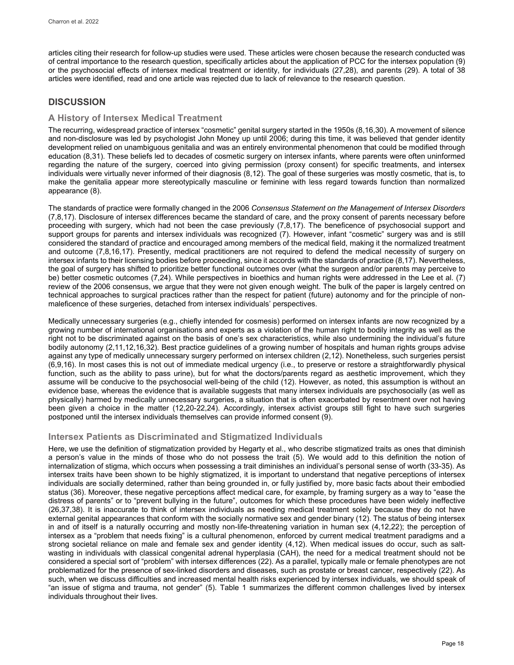articles citing their research for follow-up studies were used. These articles were chosen because the research conducted was of central importance to the research question, specifically articles about the application of PCC for the intersex population (9) or the psychosocial effects of intersex medical treatment or identity, for individuals (27,28), and parents (29). A total of 38 articles were identified, read and one article was rejected due to lack of relevance to the research question.

# **DISCUSSION**

# **A History of Intersex Medical Treatment**

The recurring, widespread practice of intersex "cosmetic" genital surgery started in the 1950s (8,16,30). A movement of silence and non-disclosure was led by psychologist John Money up until 2006; during this time, it was believed that gender identity development relied on unambiguous genitalia and was an entirely environmental phenomenon that could be modified through education (8,31). These beliefs led to decades of cosmetic surgery on intersex infants, where parents were often uninformed regarding the nature of the surgery, coerced into giving permission (proxy consent) for specific treatments, and intersex individuals were virtually never informed of their diagnosis (8,12). The goal of these surgeries was mostly cosmetic, that is, to make the genitalia appear more stereotypically masculine or feminine with less regard towards function than normalized appearance (8).

The standards of practice were formally changed in the 2006 *Consensus Statement on the Management of Intersex Disorders* (7,8,17). Disclosure of intersex differences became the standard of care, and the proxy consent of parents necessary before proceeding with surgery, which had not been the case previously (7,8,17). The beneficence of psychosocial support and support groups for parents and intersex individuals was recognized (7). However, infant "cosmetic" surgery was and is still considered the standard of practice and encouraged among members of the medical field, making it the normalized treatment and outcome (7,8,16,17). Presently, medical practitioners are not required to defend the medical necessity of surgery on intersex infants to their licensing bodies before proceeding, since it accords with the standards of practice (8,17). Nevertheless, the goal of surgery has shifted to prioritize better functional outcomes over (what the surgeon and/or parents may perceive to be) better cosmetic outcomes (7,24). While perspectives in bioethics and human rights were addressed in the Lee et al. (7) review of the 2006 consensus, we argue that they were not given enough weight. The bulk of the paper is largely centred on technical approaches to surgical practices rather than the respect for patient (future) autonomy and for the principle of nonmaleficence of these surgeries, detached from intersex individuals' perspectives.

Medically unnecessary surgeries (e.g., chiefly intended for cosmesis) performed on intersex infants are now recognized by a growing number of international organisations and experts as a violation of the human right to bodily integrity as well as the right not to be discriminated against on the basis of one's sex characteristics, while also undermining the individual's future bodily autonomy (2,11,12,16,32). Best practice guidelines of a growing number of hospitals and human rights groups advise against any type of medically unnecessary surgery performed on intersex children (2,12). Nonetheless, such surgeries persist (6,9,16). In most cases this is not out of immediate medical urgency (i.e., to preserve or restore a straightforwardly physical function, such as the ability to pass urine), but for what the doctors/parents regard as aesthetic improvement, which they assume will be conducive to the psychosocial well-being of the child (12). However, as noted, this assumption is without an evidence base, whereas the evidence that is available suggests that many intersex individuals are psychosocially (as well as physically) harmed by medically unnecessary surgeries, a situation that is often exacerbated by resentment over not having been given a choice in the matter (12,20-22,24). Accordingly, intersex activist groups still fight to have such surgeries postponed until the intersex individuals themselves can provide informed consent (9).

# **Intersex Patients as Discriminated and Stigmatized Individuals**

Here, we use the definition of stigmatization provided by Hegarty et al., who describe stigmatized traits as ones that diminish a person's value in the minds of those who do not possess the trait (5). We would add to this definition the notion of internalization of stigma, which occurs when possessing a trait diminishes an individual's personal sense of worth (33-35). As intersex traits have been shown to be highly stigmatized, it is important to understand that negative perceptions of intersex individuals are socially determined, rather than being grounded in, or fully justified by, more basic facts about their embodied status (36). Moreover, these negative perceptions affect medical care, for example, by framing surgery as a way to "ease the distress of parents" or to "prevent bullying in the future", outcomes for which these procedures have been widely ineffective (26,37,38). It is inaccurate to think of intersex individuals as needing medical treatment solely because they do not have external genital appearances that conform with the socially normative sex and gender binary (12). The status of being intersex in and of itself is a naturally occurring and mostly non-life-threatening variation in human sex (4,12,22); the perception of intersex as a "problem that needs fixing" is a cultural phenomenon, enforced by current medical treatment paradigms and a strong societal reliance on male and female sex and gender identity (4,12). When medical issues do occur, such as saltwasting in individuals with classical congenital adrenal hyperplasia (CAH), the need for a medical treatment should not be considered a special sort of "problem" with intersex differences (22). As a parallel, typically male or female phenotypes are not problematized for the presence of sex-linked disorders and diseases, such as prostate or breast cancer, respectively (22). As such, when we discuss difficulties and increased mental health risks experienced by intersex individuals, we should speak of "an issue of stigma and trauma, not gender" (5). Table 1 summarizes the different common challenges lived by intersex individuals throughout their lives.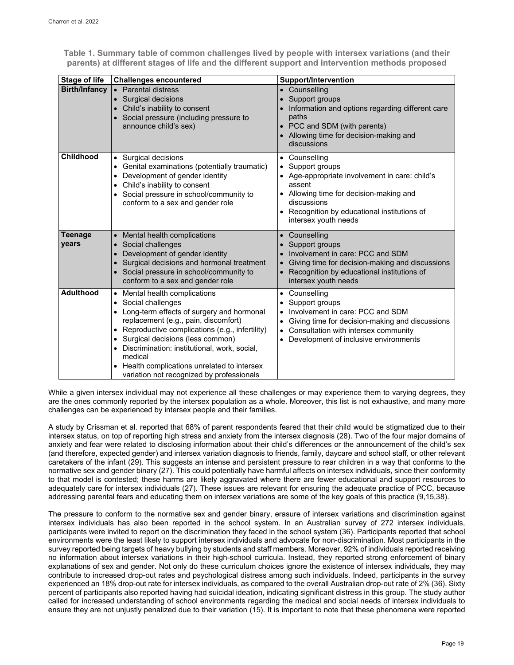**Table 1. Summary table of common challenges lived by people with intersex variations (and their parents) at different stages of life and the different support and intervention methods proposed**

| <b>Stage of life</b>    | <b>Challenges encountered</b>                                                                                                                                                                                                                                                                                                                                                                                                                        | <b>Support/Intervention</b>                                                                                                                                                                                                                       |
|-------------------------|------------------------------------------------------------------------------------------------------------------------------------------------------------------------------------------------------------------------------------------------------------------------------------------------------------------------------------------------------------------------------------------------------------------------------------------------------|---------------------------------------------------------------------------------------------------------------------------------------------------------------------------------------------------------------------------------------------------|
| <b>Birth/Infancy</b>    | • Parental distress<br>Surgical decisions<br>Child's inability to consent<br>• Social pressure (including pressure to<br>announce child's sex)                                                                                                                                                                                                                                                                                                       | • Counselling<br>Support groups<br>Information and options regarding different care<br>paths<br>• PCC and SDM (with parents)<br>• Allowing time for decision-making and<br>discussions                                                            |
| <b>Childhood</b>        | Surgical decisions<br>$\bullet$<br>Genital examinations (potentially traumatic)<br>$\bullet$<br>Development of gender identity<br>$\bullet$<br>Child's inability to consent<br>٠<br>Social pressure in school/community to<br>٠<br>conform to a sex and gender role                                                                                                                                                                                  | • Counselling<br>Support groups<br>Age-appropriate involvement in care: child's<br>assent<br>Allowing time for decision-making and<br>$\bullet$<br>discussions<br>Recognition by educational institutions of<br>$\bullet$<br>intersex youth needs |
| <b>Teenage</b><br>years | Mental health complications<br>Social challenges<br>$\bullet$<br>Development of gender identity<br>Surgical decisions and hormonal treatment<br>Social pressure in school/community to<br>conform to a sex and gender role                                                                                                                                                                                                                           | Counselling<br>Support groups<br>Involvement in care: PCC and SDM<br>Giving time for decision-making and discussions<br>Recognition by educational institutions of<br>$\bullet$<br>intersex youth needs                                           |
| <b>Adulthood</b>        | • Mental health complications<br>Social challenges<br>$\bullet$<br>Long-term effects of surgery and hormonal<br>$\bullet$<br>replacement (e.g., pain, discomfort)<br>Reproductive complications (e.g., infertility)<br>$\bullet$<br>Surgical decisions (less common)<br>Discrimination: institutional, work, social,<br>$\bullet$<br>medical<br>Health complications unrelated to intersex<br>$\bullet$<br>variation not recognized by professionals | Counselling<br>$\bullet$<br>Support groups<br>Involvement in care: PCC and SDM<br>Giving time for decision-making and discussions<br>Consultation with intersex community<br>$\bullet$<br>Development of inclusive environments                   |

While a given intersex individual may not experience all these challenges or may experience them to varying degrees, they are the ones commonly reported by the intersex population as a whole. Moreover, this list is not exhaustive, and many more challenges can be experienced by intersex people and their families.

A study by Crissman et al. reported that 68% of parent respondents feared that their child would be stigmatized due to their intersex status, on top of reporting high stress and anxiety from the intersex diagnosis (28). Two of the four major domains of anxiety and fear were related to disclosing information about their child's differences or the announcement of the child's sex (and therefore, expected gender) and intersex variation diagnosis to friends, family, daycare and school staff, or other relevant caretakers of the infant (29). This suggests an intense and persistent pressure to rear children in a way that conforms to the normative sex and gender binary (27). This could potentially have harmful affects on intersex individuals, since their conformity to that model is contested; these harms are likely aggravated where there are fewer educational and support resources to adequately care for intersex individuals (27). These issues are relevant for ensuring the adequate practice of PCC, because addressing parental fears and educating them on intersex variations are some of the key goals of this practice (9,15,38).

The pressure to conform to the normative sex and gender binary, erasure of intersex variations and discrimination against intersex individuals has also been reported in the school system. In an Australian survey of 272 intersex individuals, participants were invited to report on the discrimination they faced in the school system (36). Participants reported that school environments were the least likely to support intersex individuals and advocate for non-discrimination. Most participants in the survey reported being targets of heavy bullying by students and staff members. Moreover, 92% of individuals reported receiving no information about intersex variations in their high-school curricula. Instead, they reported strong enforcement of binary explanations of sex and gender. Not only do these curriculum choices ignore the existence of intersex individuals, they may contribute to increased drop-out rates and psychological distress among such individuals. Indeed, participants in the survey experienced an 18% drop-out rate for intersex individuals, as compared to the overall Australian drop-out rate of 2% (36). Sixty percent of participants also reported having had suicidal ideation, indicating significant distress in this group. The study author called for increased understanding of school environments regarding the medical and social needs of intersex individuals to ensure they are not unjustly penalized due to their variation (15). It is important to note that these phenomena were reported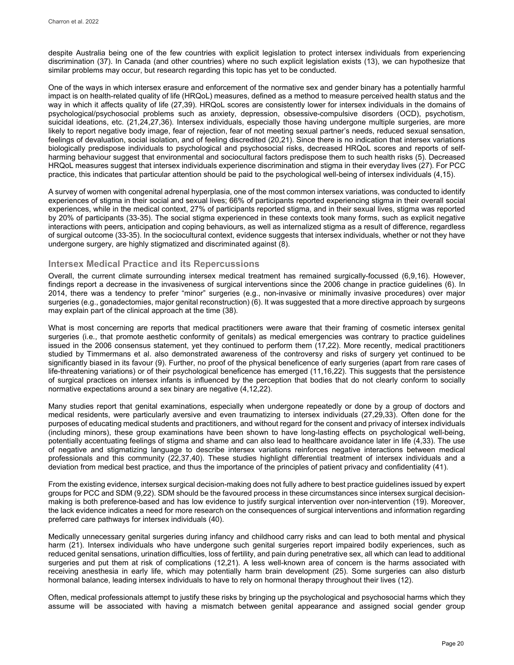despite Australia being one of the few countries with explicit legislation to protect intersex individuals from experiencing discrimination (37). In Canada (and other countries) where no such explicit legislation exists (13), we can hypothesize that similar problems may occur, but research regarding this topic has yet to be conducted.

One of the ways in which intersex erasure and enforcement of the normative sex and gender binary has a potentially harmful impact is on health-related quality of life (HRQoL) measures, defined as a method to measure perceived health status and the way in which it affects quality of life (27,39). HRQoL scores are consistently lower for intersex individuals in the domains of psychological/psychosocial problems such as anxiety, depression, obsessive-compulsive disorders (OCD), psychotism, suicidal ideations, etc. (21,24,27,36). Intersex individuals, especially those having undergone multiple surgeries, are more likely to report negative body image, fear of rejection, fear of not meeting sexual partner's needs, reduced sexual sensation, feelings of devaluation, social isolation, and of feeling discredited (20,21). Since there is no indication that intersex variations biologically predispose individuals to psychological and psychosocial risks, decreased HRQoL scores and reports of selfharming behaviour suggest that environmental and sociocultural factors predispose them to such health risks (5). Decreased HRQoL measures suggest that intersex individuals experience discrimination and stigma in their everyday lives (27). For PCC practice, this indicates that particular attention should be paid to the psychological well-being of intersex individuals (4,15).

A survey of women with congenital adrenal hyperplasia, one of the most common intersex variations, was conducted to identify experiences of stigma in their social and sexual lives; 66% of participants reported experiencing stigma in their overall social experiences, while in the medical context, 27% of participants reported stigma, and in their sexual lives, stigma was reported by 20% of participants (33-35). The social stigma experienced in these contexts took many forms, such as explicit negative interactions with peers, anticipation and coping behaviours, as well as internalized stigma as a result of difference, regardless of surgical outcome (33-35). In the sociocultural context, evidence suggests that intersex individuals, whether or not they have undergone surgery, are highly stigmatized and discriminated against (8).

## **Intersex Medical Practice and its Repercussions**

Overall, the current climate surrounding intersex medical treatment has remained surgically-focussed (6,9,16). However, findings report a decrease in the invasiveness of surgical interventions since the 2006 change in practice guidelines (6). In 2014, there was a tendency to prefer "minor" surgeries (e.g., non-invasive or minimally invasive procedures) over major surgeries (e.g., gonadectomies, major genital reconstruction) (6). It was suggested that a more directive approach by surgeons may explain part of the clinical approach at the time (38).

What is most concerning are reports that medical practitioners were aware that their framing of cosmetic intersex genital surgeries (i.e., that promote aesthetic conformity of genitals) as medical emergencies was contrary to practice guidelines issued in the 2006 consensus statement, yet they continued to perform them (17,22). More recently, medical practitioners studied by Timmermans et al. also demonstrated awareness of the controversy and risks of surgery yet continued to be significantly biased in its favour (9). Further, no proof of the physical beneficence of early surgeries (apart from rare cases of life-threatening variations) or of their psychological beneficence has emerged (11,16,22). This suggests that the persistence of surgical practices on intersex infants is influenced by the perception that bodies that do not clearly conform to socially normative expectations around a sex binary are negative (4,12,22).

Many studies report that genital examinations, especially when undergone repeatedly or done by a group of doctors and medical residents, were particularly aversive and even traumatizing to intersex individuals (27,29,33). Often done for the purposes of educating medical students and practitioners, and without regard for the consent and privacy of intersex individuals (including minors), these group examinations have been shown to have long-lasting effects on psychological well-being, potentially accentuating feelings of stigma and shame and can also lead to healthcare avoidance later in life (4,33). The use of negative and stigmatizing language to describe intersex variations reinforces negative interactions between medical professionals and this community (22,37,40). These studies highlight differential treatment of intersex individuals and a deviation from medical best practice, and thus the importance of the principles of patient privacy and confidentiality (41).

From the existing evidence, intersex surgical decision-making does not fully adhere to best practice guidelines issued by expert groups for PCC and SDM (9,22). SDM should be the favoured process in these circumstances since intersex surgical decisionmaking is both preference-based and has low evidence to justify surgical intervention over non-intervention (19). Moreover, the lack evidence indicates a need for more research on the consequences of surgical interventions and information regarding preferred care pathways for intersex individuals (40).

Medically unnecessary genital surgeries during infancy and childhood carry risks and can lead to both mental and physical harm (21). Intersex individuals who have undergone such genital surgeries report impaired bodily experiences, such as reduced genital sensations, urination difficulties, loss of fertility, and pain during penetrative sex, all which can lead to additional surgeries and put them at risk of complications (12,21). A less well-known area of concern is the harms associated with receiving anesthesia in early life, which may potentially harm brain development (25). Some surgeries can also disturb hormonal balance, leading intersex individuals to have to rely on hormonal therapy throughout their lives (12).

Often, medical professionals attempt to justify these risks by bringing up the psychological and psychosocial harms which they assume will be associated with having a mismatch between genital appearance and assigned social gender group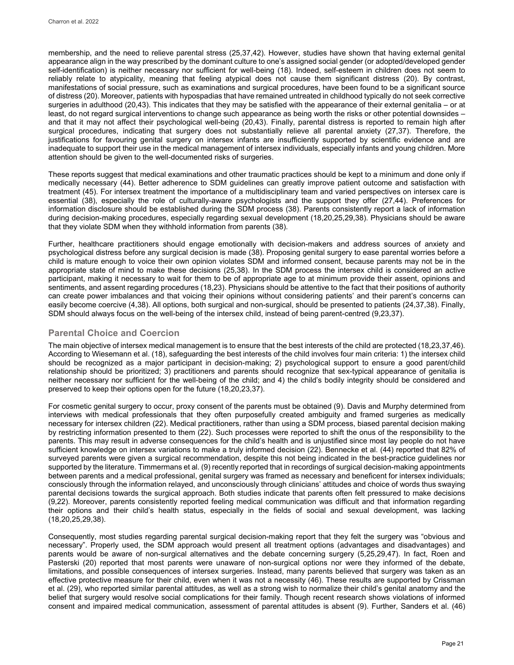membership, and the need to relieve parental stress (25,37,42). However, studies have shown that having external genital appearance align in the way prescribed by the dominant culture to one's assigned social gender (or adopted/developed gender self-identification) is neither necessary nor sufficient for well-being (18). Indeed, self-esteem in children does not seem to reliably relate to atypicality, meaning that feeling atypical does not cause them significant distress (20). By contrast, manifestations of social pressure, such as examinations and surgical procedures, have been found to be a significant source of distress (20). Moreover, patients with hypospadias that have remained untreated in childhood typically do not seek corrective surgeries in adulthood (20,43). This indicates that they may be satisfied with the appearance of their external genitalia – or at least, do not regard surgical interventions to change such appearance as being worth the risks or other potential downsides – and that it may not affect their psychological well-being (20,43). Finally, parental distress is reported to remain high after surgical procedures, indicating that surgery does not substantially relieve all parental anxiety (27,37). Therefore, the justifications for favouring genital surgery on intersex infants are insufficiently supported by scientific evidence and are inadequate to support their use in the medical management of intersex individuals, especially infants and young children. More attention should be given to the well-documented risks of surgeries.

These reports suggest that medical examinations and other traumatic practices should be kept to a minimum and done only if medically necessary (44). Better adherence to SDM guidelines can greatly improve patient outcome and satisfaction with treatment (45). For intersex treatment the importance of a multidisciplinary team and varied perspectives on intersex care is essential (38), especially the role of culturally-aware psychologists and the support they offer (27,44). Preferences for information disclosure should be established during the SDM process (38). Parents consistently report a lack of information during decision-making procedures, especially regarding sexual development (18,20,25,29,38). Physicians should be aware that they violate SDM when they withhold information from parents (38).

Further, healthcare practitioners should engage emotionally with decision-makers and address sources of anxiety and psychological distress before any surgical decision is made (38). Proposing genital surgery to ease parental worries before a child is mature enough to voice their own opinion violates SDM and informed consent, because parents may not be in the appropriate state of mind to make these decisions (25,38). In the SDM process the intersex child is considered an active participant, making it necessary to wait for them to be of appropriate age to at minimum provide their assent, opinions and sentiments, and assent regarding procedures (18,23). Physicians should be attentive to the fact that their positions of authority can create power imbalances and that voicing their opinions without considering patients' and their parent's concerns can easily become coercive (4,38). All options, both surgical and non-surgical, should be presented to patients (24,37,38). Finally, SDM should always focus on the well-being of the intersex child, instead of being parent-centred (9,23,37).

## **Parental Choice and Coercion**

The main objective of intersex medical management is to ensure that the best interests of the child are protected (18,23,37,46). According to Wiesemann et al. (18), safeguarding the best interests of the child involves four main criteria: 1) the intersex child should be recognized as a major participant in decision-making; 2) psychological support to ensure a good parent/child relationship should be prioritized; 3) practitioners and parents should recognize that sex-typical appearance of genitalia is neither necessary nor sufficient for the well-being of the child; and 4) the child's bodily integrity should be considered and preserved to keep their options open for the future (18,20,23,37).

For cosmetic genital surgery to occur, proxy consent of the parents must be obtained (9). Davis and Murphy determined from interviews with medical professionals that they often purposefully created ambiguity and framed surgeries as medically necessary for intersex children (22). Medical practitioners, rather than using a SDM process, biased parental decision making by restricting information presented to them (22). Such processes were reported to shift the onus of the responsibility to the parents. This may result in adverse consequences for the child's health and is unjustified since most lay people do not have sufficient knowledge on intersex variations to make a truly informed decision (22). Bennecke et al. (44) reported that 82% of surveyed parents were given a surgical recommendation, despite this not being indicated in the best-practice guidelines nor supported by the literature. Timmermans et al. (9) recently reported that in recordings of surgical decision-making appointments between parents and a medical professional, genital surgery was framed as necessary and beneficent for intersex individuals; consciously through the information relayed, and unconsciously through clinicians' attitudes and choice of words thus swaying parental decisions towards the surgical approach. Both studies indicate that parents often felt pressured to make decisions (9,22). Moreover, parents consistently reported feeling medical communication was difficult and that information regarding their options and their child's health status, especially in the fields of social and sexual development, was lacking (18,20,25,29,38).

Consequently, most studies regarding parental surgical decision-making report that they felt the surgery was "obvious and necessary". Properly used, the SDM approach would present all treatment options (advantages and disadvantages) and parents would be aware of non-surgical alternatives and the debate concerning surgery (5,25,29,47). In fact, Roen and Pasterski (20) reported that most parents were unaware of non-surgical options nor were they informed of the debate, limitations, and possible consequences of intersex surgeries. Instead, many parents believed that surgery was taken as an effective protective measure for their child, even when it was not a necessity (46). These results are supported by Crissman et al. (29), who reported similar parental attitudes, as well as a strong wish to normalize their child's genital anatomy and the belief that surgery would resolve social complications for their family. Though recent research shows violations of informed consent and impaired medical communication, assessment of parental attitudes is absent (9). Further, Sanders et al. (46)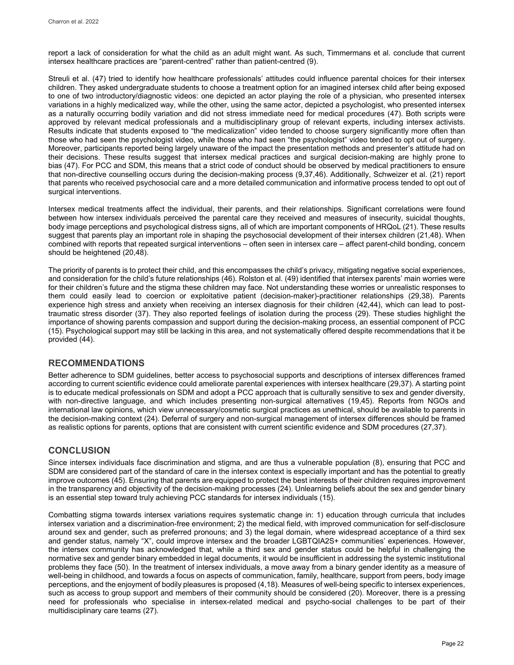report a lack of consideration for what the child as an adult might want. As such, Timmermans et al. conclude that current intersex healthcare practices are "parent-centred" rather than patient-centred (9).

Streuli et al. (47) tried to identify how healthcare professionals' attitudes could influence parental choices for their intersex children. They asked undergraduate students to choose a treatment option for an imagined intersex child after being exposed to one of two introductory/diagnostic videos: one depicted an actor playing the role of a physician, who presented intersex variations in a highly medicalized way, while the other, using the same actor, depicted a psychologist, who presented intersex as a naturally occurring bodily variation and did not stress immediate need for medical procedures (47). Both scripts were approved by relevant medical professionals and a multidisciplinary group of relevant experts, including intersex activists. Results indicate that students exposed to "the medicalization" video tended to choose surgery significantly more often than those who had seen the psychologist video, while those who had seen "the psychologist" video tended to opt out of surgery. Moreover, participants reported being largely unaware of the impact the presentation methods and presenter's attitude had on their decisions. These results suggest that intersex medical practices and surgical decision-making are highly prone to bias (47). For PCC and SDM, this means that a strict code of conduct should be observed by medical practitioners to ensure that non-directive counselling occurs during the decision-making process (9,37,46). Additionally, Schweizer et al. (21) report that parents who received psychosocial care and a more detailed communication and informative process tended to opt out of surgical interventions.

Intersex medical treatments affect the individual, their parents, and their relationships. Significant correlations were found between how intersex individuals perceived the parental care they received and measures of insecurity, suicidal thoughts, body image perceptions and psychological distress signs, all of which are important components of HRQoL (21). These results suggest that parents play an important role in shaping the psychosocial development of their intersex children (21,48). When combined with reports that repeated surgical interventions – often seen in intersex care – affect parent-child bonding, concern should be heightened (20,48).

The priority of parents is to protect their child, and this encompasses the child's privacy, mitigating negative social experiences, and consideration for the child's future relationships (46). Rolston et al. (49) identified that intersex parents' main worries were for their children's future and the stigma these children may face. Not understanding these worries or unrealistic responses to them could easily lead to coercion or exploitative patient (decision-maker)-practitioner relationships (29,38). Parents experience high stress and anxiety when receiving an intersex diagnosis for their children (42,44), which can lead to posttraumatic stress disorder (37). They also reported feelings of isolation during the process (29). These studies highlight the importance of showing parents compassion and support during the decision-making process, an essential component of PCC (15). Psychological support may still be lacking in this area, and not systematically offered despite recommendations that it be provided (44).

# **RECOMMENDATIONS**

Better adherence to SDM guidelines, better access to psychosocial supports and descriptions of intersex differences framed according to current scientific evidence could ameliorate parental experiences with intersex healthcare (29,37). A starting point is to educate medical professionals on SDM and adopt a PCC approach that is culturally sensitive to sex and gender diversity, with non-directive language, and which includes presenting non-surgical alternatives (19,45). Reports from NGOs and international law opinions, which view unnecessary/cosmetic surgical practices as unethical, should be available to parents in the decision-making context (24). Deferral of surgery and non-surgical management of intersex differences should be framed as realistic options for parents, options that are consistent with current scientific evidence and SDM procedures (27,37).

# **CONCLUSION**

Since intersex individuals face discrimination and stigma, and are thus a vulnerable population (8), ensuring that PCC and SDM are considered part of the standard of care in the intersex context is especially important and has the potential to greatly improve outcomes (45). Ensuring that parents are equipped to protect the best interests of their children requires improvement in the transparency and objectivity of the decision-making processes (24). Unlearning beliefs about the sex and gender binary is an essential step toward truly achieving PCC standards for intersex individuals (15).

Combatting stigma towards intersex variations requires systematic change in: 1) education through curricula that includes intersex variation and a discrimination-free environment; 2) the medical field, with improved communication for self-disclosure around sex and gender, such as preferred pronouns; and 3) the legal domain, where widespread acceptance of a third sex and gender status, namely "X", could improve intersex and the broader LGBTQIA2S+ communities' experiences. However, the intersex community has acknowledged that, while a third sex and gender status could be helpful in challenging the normative sex and gender binary embedded in legal documents, it would be insufficient in addressing the systemic institutional problems they face (50). In the treatment of intersex individuals, a move away from a binary gender identity as a measure of well-being in childhood, and towards a focus on aspects of communication, family, healthcare, support from peers, body image perceptions, and the enjoyment of bodily pleasures is proposed (4,18). Measures of well-being specific to intersex experiences, such as access to group support and members of their community should be considered (20). Moreover, there is a pressing need for professionals who specialise in intersex-related medical and psycho-social challenges to be part of their multidisciplinary care teams (27).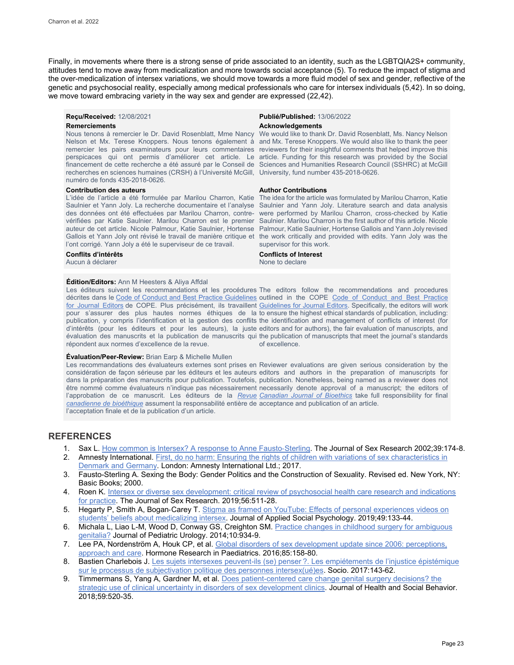Finally, in movements where there is a strong sense of pride associated to an identity, such as the LGBTQIA2S+ community, attitudes tend to move away from medicalization and more towards social acceptance (5). To reduce the impact of stigma and the over-medicalization of intersex variations, we should move towards a more fluid model of sex and gender, reflective of the genetic and psychosocial reality, especially among medical professionals who care for intersex individuals (5,42). In so doing, we move toward embracing variety in the way sex and gender are expressed (22,42).

#### **Remerciements Acknowledgements** *Acknowledgements*

Nous tenons à remercier le Dr. David Rosenblatt, Mme Nancy We would like to thank Dr. David Rosenblatt, Ms. Nancy Nelson Nelson et Mx. Terese Knoppers. Nous tenons également à and Mx. Terese Knoppers. We would also like to thank the peer remercier les pairs examinateurs pour leurs commentaires reviewers for their insightful comments that helped improve this perspicaces qui ont permis d'améliorer cet article. Le article. Funding for this research was provided by the Social financement de cette recherche a été assuré par le Conseil de Sciences and Humanities Research Council (SSHRC) at McGill recherches en sciences humaines (CRSH) à l'Université McGill, University, fund number 435-2018-0626. numéro de fonds 435-2018-0626.

#### **Contribution des auteurs**

l'ont corrigé. Yann Joly a été le superviseur de ce travail.

Aucun à déclarer

### **Édition/Editors:** Ann M Heesters & Aliya Affdal

Les éditeurs suivent les recommandations et les procédures The editors follow the recommendations and procedures décrites dans le [Code of Conduct and Best Practice Guidelines](http://publicationethics.org/resources/code-conduct) outlined in the COPE Code of Conduct and Best Practice <u>[for Journal Editors](http://publicationethics.org/resources/code-conduct)</u> de COPE. Plus précisément, ils travaillent <u>Guidelines for Journal Editors</u>. Specifically, the editors will work pour s'assurer des plus hautes normes éthiques de la to ensure the highest ethical standards of publication, including: publication, y compris l'identification et la gestion des conflits the identification and management of conflicts of interest (for d'intérêts (pour les éditeurs et pour les auteurs), la juste editors and for authors), the fair evaluation of manuscripts, and évaluation des manuscrits et la publication de manuscrits qui the publication of manuscripts that meet the journal's standards répondent aux normes d'excellence de la revue.

#### **Évaluation/Peer-Review:** Brian Earp & Michelle Mullen

Les recommandations des évaluateurs externes sont prises en Reviewer evaluations are given serious consideration by the considération de façon sérieuse par les éditeurs et les auteurs editors and authors in the preparation of manuscripts for dans la préparation des manuscrits pour publication. Toutefois, publication. Nonetheless, being named as a reviewer does not être nommé comme évaluateurs n'indique pas nécessairement necessarily denote approval of a manuscript; the editors of l'approbation de ce manuscrit. Les éditeurs de la *[Revue](http://cjb-rcb.ca/)  [Canadian Journal of Bioethics](http://cjb-rcb.ca/)* take full responsibility for final *[canadienne de bioéthique](http://cjb-rcb.ca/)* assument la responsabilité entière de acceptance and publication of an article. l'acceptation finale et de la publication d'un article.

**Reçu/Received:** 12/08/2021 **Publié/Published:** 13/06/2022

#### **Author Contributions**

L'idée de l'article a été formulée par Marilou Charron, Katie Theidea for the article was formulated by Marilou Charron, Katie Saulnier et Yann Joly. La recherche documentaire et l'analyse Saulnier and Yann Joly. Literature search and data analysis des données ont été effectuées par Marilou Charron, contre-were performed by Marilou Charron, cross-checked by Katie vérifiées par Katie Saulnier. Marilou Charron est le premier Saulnier. Marilou Charron is the first author of this article. Nicole auteur de cet article. Nicole Palmour, Katie Saulnier, Hortense Palmour, Katie Saulnier, Hortense Gallois and Yann Joly revised Gallois et Yann Joly ont révisé le travail de manière critique et the work critically and provided with edits. Yann Joly was the supervisor for this work.

# **Conflits d'intérêts Conflicts of Interest**

of excellence.

## **REFERENCES**

- 1. Sax L. How common is Intersex? A response to Anne Fausto-Sterling. The Journal of Sex Research 2002;39:174-8.
- 2. Amnesty International[. First, do no harm: Ensuring the rights of children with variations of sex characteristics in](https://www.amnesty.org/en/documents/eur01/6086/2017/en/)  [Denmark and Germany.](https://www.amnesty.org/en/documents/eur01/6086/2017/en/) London: Amnesty International Ltd.; 2017.
- 3. Fausto-Sterling A. Sexing the Body: Gender Politics and the Construction of Sexuality. Revised ed. New York, NY: Basic Books; 2000.
- 4. Roen K. Intersex or diverse sex development: critical review of psychosocial health care research and indications [for practice.](https://doi.org/10.1080/00224499.2019.1578331) The Journal of Sex Research. 2019;56:511-28.
- 5. Hegarty P, Smith A, Bogan-Carey T. Stigma as framed on YouTube: Effects of personal experiences videos on [students' beliefs about medicalizing intersex.](https://doi.org/10.1111/jasp.12570) Journal of Applied Social Psychology. 2019;49:133-44.
- 6. Michala L, Liao L-M, Wood D, Conway GS, Creighton SM[. Practice changes in childhood surgery for ambiguous](https://doi.org/10.1016/j.jpurol.2014.01.030)  [genitalia?](https://doi.org/10.1016/j.jpurol.2014.01.030) Journal of Pediatric Urology. 2014;10:934-9.
- 7. Lee PA, Nordenström A, Houk CP, et al. Global disorders of sex development update since 2006: perceptions, [approach and care.](https://doi.org/10.1159/000442975) Hormone Research in Paediatrics. 2016;85:158-80.
- 8. Bastien Charlebois J. Les sujets intersexes peuvent-ils (se) penser ?. Les empiétements de l'injustice épistémique [sur le processus de subjectivation politique des personnes intersex\(ué\)es.](https://doi.org/10.4000/socio.2945) Socio. 2017:143-62.
- 9. Timmermans S, Yang A, Gardner M, et al. [Does patient-centered care change genital surgery decisions? the](https://doi.org/10.1177/0022146518802460)  [strategic use of clinical uncertainty in disorders of sex development clinics.](https://doi.org/10.1177/0022146518802460) Journal of Health and Social Behavior. 2018;59:520-35.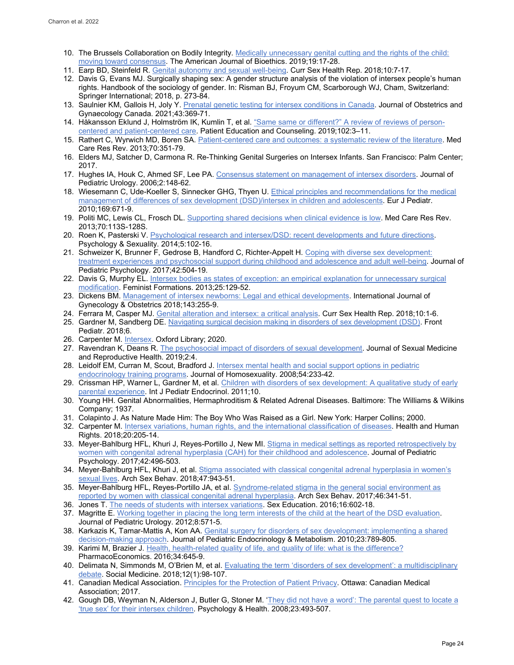- 10. The Brussels Collaboration on Bodily Integrity[. Medically unnecessary genital cutting and the rights of the child:](https://doi.org/10.1080/15265161.2019.1643945)  [moving toward consensus.](https://doi.org/10.1080/15265161.2019.1643945) The American Journal of Bioethics. 2019;19:17-28.
- 11. Earp BD, Steinfeld R[. Genital autonomy and sexual well-being.](https://doi.org/10.1007/s11930-018-0141-x) Curr Sex Health Rep. 2018;10:7-17.
- 12. Davis G, Evans MJ. Surgically shaping sex: A gender structure analysis of the violation of intersex people's human rights. Handbook of the sociology of gender. In: Risman BJ, Froyum CM, Scarborough WJ, Cham, Switzerland: Springer International; 2018, p. 273-84.
- 13. Saulnier KM, Gallois H, Joly Y[. Prenatal genetic testing for intersex conditions](https://doi.org/10.1016/j.jogc.2020.05.015) in Canada. Journal of Obstetrics and Gynaecology Canada. 2021;43:369-71.
- 14. Håkansson Eklund J, Holmström IK, Kumlin T, et al[. "Same same or different?" A review of reviews of person](https://doi.org/10.1016/j.pec.2018.08.029)[centered and patient-centered care.](https://doi.org/10.1016/j.pec.2018.08.029) Patient Education and Counseling. 2019;102:3–11.
- 15. Rathert C, Wyrwich MD, Boren SA. [Patient-centered care and outcomes: a systematic review of the literature.](https://doi.org/10.1177/1077558712465774) Med Care Res Rev. 2013;70:351-79.
- 16. Elders MJ, Satcher D, Carmona R. Re-Thinking Genital Surgeries on Intersex Infants. San Francisco: Palm Center; 2017.
- 17. Hughes IA, Houk C, Ahmed SF, Lee PA[. Consensus statement on management of intersex disorders.](https://doi.org/10.1016/j.jpurol.2006.03.004) Journal of Pediatric Urology. 2006;2:148-62.
- 18. Wiesemann C, Ude-Koeller S, Sinnecker GHG, Thyen U. Ethical principles and recommendations for the medical [management of differences of sex development \(DSD\)/intersex in children and adolescents.](https://doi.org/10.1007/s00431-009-1086-x) Eur J Pediatr. 2010;169:671-9.
- 19. Politi MC, Lewis CL, Frosch DL. Supporting [shared decisions when clinical evidence is low.](https://doi.org/10.1177/1077558712458456) Med Care Res Rev. 2013;70:113S-128S.
- 20. Roen K, Pasterski V. [Psychological research and intersex/DSD: recent developments and future directions.](https://doi.org/10.1080/19419899.2013.831218)  Psychology & Sexuality. 2014;5:102-16.
- 21. Schweizer K, Brunner F, Gedrose B, Handford C, Richter-Appelt H[. Coping with diverse sex development:](https://doi.org/10.1093/jpepsy/jsw058)  [treatment experiences and psychosocial support during childhood and adolescence and adult well-being.](https://doi.org/10.1093/jpepsy/jsw058) Journal of Pediatric Psychology. 2017;42:504-19.
- 22. Davis G, Murphy EL. Intersex bodies as states of exception: an empirical explanation for unnecessary surgical [modification.](https://muse.jhu.edu/article/520414) Feminist Formations. 2013;25:129-52.
- 23. Dickens BM[. Management of intersex newborns: Legal and ethical developments.](https://doi.org/10.1002/ijgo.12573) International Journal of Gynecology & Obstetrics 2018;143:255-9.
- 24. Ferrara M, Casper MJ[. Genital alteration and intersex: a critical analysis.](https://doi.org/10.1007/s11930-018-0142-9) Curr Sex Health Rep. 2018;10:1-6.
- 25. Gardner M, Sandberg DE[. Navigating surgical decision making in disorders of sex development \(DSD\).](https://doi.org/10.3389/fped.2018.00339) Front Pediatr. 2018;6.
- 26. Carpenter M[. Intersex.](https://www.oxfordbibliographies.com/view/document/obo-9780199756384/obo-9780199756384-0232.xml) Oxford Library; 2020.
- 27. Ravendran K, Deans R, [The psychosocial impact of disorders of sexual development.](https://www.ncbi.nlm.nih.gov/pmc/articles/PMC3687360/) Journal of Sexual Medicine and Reproductive Health. 2019;2:4.
- 28. Leidolf EM, Curran M, Scout, Bradford J. [Intersex mental health and social support options in pediatric](https://doi.org/10.1080/00918360801982074)  [endocrinology training programs.](https://doi.org/10.1080/00918360801982074) Journal of Homosexuality. 2008;54:233-42.
- 29. Crissman HP, Warner L, Gardner M, et al. Children with disorders of sex development: A qualitative study of early [parental experience.](https://doi.org/10.1186/1687-9856-2011-10) Int J Pediatr Endocrinol. 2011;10.
- 30. Young HH. Genital Abnormalities, Hermaphroditism & Related Adrenal Diseases. Baltimore: The Williams & Wilkins Company; 1937.
- 31. Colapinto J. As Nature Made Him: The Boy Who Was Raised as a Girl. New York: Harper Collins; 2000.
- 32. Carpenter M[. Intersex variations, human rights, and the international classification of diseases.](https://www.ncbi.nlm.nih.gov/pmc/articles/PMC6293350/) Health and Human Rights. 2018;20:205-14.
- 33. Meyer-Bahlburg HFL, Khuri J, Reyes-Portillo J, New MI. Stigma in medical settings as reported retrospectively by [women with congenital adrenal hyperplasia](https://doi.org/10.1093/jpepsy/jsw034) (CAH) for their childhood and adolescence. Journal of Pediatric Psychology. 2017;42:496-503.
- 34. Meyer-Bahlburg HFL, Khuri J, et al. [Stigma associated with classical congenital adrenal hyperplasia in women's](https://doi.org/10.1007/s10508-017-1003-8)  [sexual lives.](https://doi.org/10.1007/s10508-017-1003-8) Arch Sex Behav. 2018;47:943-51.
- 35. Meyer-Bahlburg HFL, Reyes-Portillo JA, et al. Syndrome-related stigma in the general social environment as [reported by women with classical congenital adrenal hyperplasia.](https://doi.org/10.1007/s10508-016-0862-8) Arch Sex Behav. 2017;46:341-51.
- 36. Jones T[. The needs of students with intersex variations.](https://doi.org/10.1080/14681811.2016.1149808) Sex Education. 2016;16:602-18.
- 37. Magritte E. Working together in placing the long term interests of the child at the heart of the DSD evaluation. Journal of Pediatric Urology. 2012;8:571-5.
- 38. Karkazis K, Tamar-Mattis A, Kon AA. Genital surgery for disorders of sex development: implementing a shared [decision-making approach.](https://doi.org/10.1515/jpem.2010.129) Journal of Pediatric Endocrinology & Metabolism. 2010;23:789-805.
- 39. Karimi M, Brazier J[. Health, health-related quality of life, and quality of life: what is the difference?](https://doi.org/10.1007/s40273-016-0389-9) PharmacoEconomics. 2016;34:645-9.
- 40. Delimata N, Simmonds M, O'Brien M, et al[. Evaluating the term 'disorders of sex development': a multidisciplinary](https://www.socialmedicine.info/index.php/socialmedicine/article/view/932)  [debate.](https://www.socialmedicine.info/index.php/socialmedicine/article/view/932) Social Medicine. 2018;12(1):98-107.
- 41. Canadian Medical Association. [Principles for the Protection of Patient Privacy.](https://policybase.cma.ca/documents/Policypdf/PD18-02S.pdf) Ottawa: Canadian Medical Association; 2017.
- 42. Gough DB, Weyman N, Alderson J, Butler G, Stoner M. 'They did not have a word': The parental quest to locate a ['true sex' for their intersex children.](https://doi.org/10.1080/14768320601176170) Psychology & Health. 2008;23:493-507.